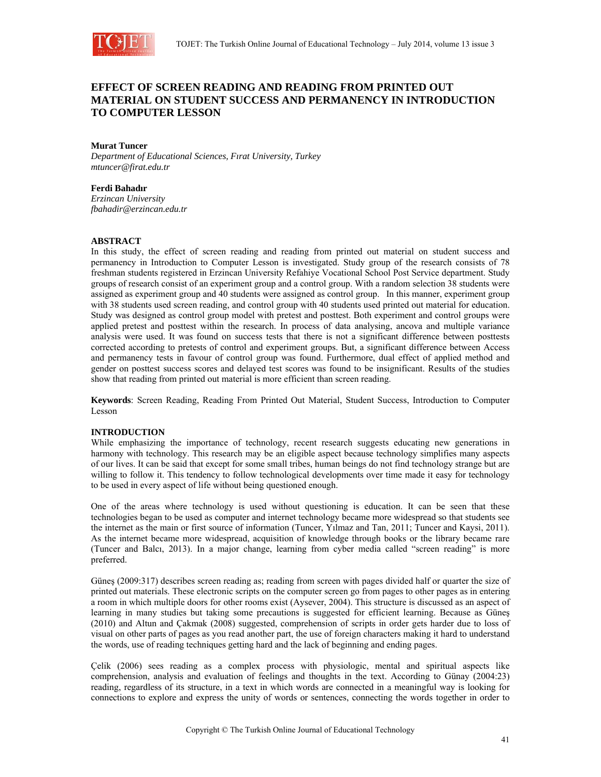

# **EFFECT OF SCREEN READING AND READING FROM PRINTED OUT MATERIAL ON STUDENT SUCCESS AND PERMANENCY IN INTRODUCTION TO COMPUTER LESSON**

## **Murat Tuncer**

*Department of Educational Sciences, Fırat University, Turkey mtuncer@firat.edu.tr* 

## **Ferdi Bahadır**

*Erzincan University fbahadir@erzincan.edu.tr* 

## **ABSTRACT**

In this study, the effect of screen reading and reading from printed out material on student success and permanency in Introduction to Computer Lesson is investigated. Study group of the research consists of 78 freshman students registered in Erzincan University Refahiye Vocational School Post Service department. Study groups of research consist of an experiment group and a control group. With a random selection 38 students were assigned as experiment group and 40 students were assigned as control group. In this manner, experiment group with 38 students used screen reading, and control group with 40 students used printed out material for education. Study was designed as control group model with pretest and posttest. Both experiment and control groups were applied pretest and posttest within the research. In process of data analysing, ancova and multiple variance analysis were used. It was found on success tests that there is not a significant difference between posttests corrected according to pretests of control and experiment groups. But, a significant difference between Access and permanency tests in favour of control group was found. Furthermore, dual effect of applied method and gender on posttest success scores and delayed test scores was found to be insignificant. Results of the studies show that reading from printed out material is more efficient than screen reading.

**Keywords**: Screen Reading, Reading From Printed Out Material, Student Success, Introduction to Computer Lesson

#### **INTRODUCTION**

While emphasizing the importance of technology, recent research suggests educating new generations in harmony with technology. This research may be an eligible aspect because technology simplifies many aspects of our lives. It can be said that except for some small tribes, human beings do not find technology strange but are willing to follow it. This tendency to follow technological developments over time made it easy for technology to be used in every aspect of life without being questioned enough.

One of the areas where technology is used without questioning is education. It can be seen that these technologies began to be used as computer and internet technology became more widespread so that students see the internet as the main or first source of information (Tuncer, Yılmaz and Tan, 2011; Tuncer and Kaysi, 2011). As the internet became more widespread, acquisition of knowledge through books or the library became rare (Tuncer and Balcı, 2013). In a major change, learning from cyber media called "screen reading" is more preferred.

Güneş (2009:317) describes screen reading as; reading from screen with pages divided half or quarter the size of printed out materials. These electronic scripts on the computer screen go from pages to other pages as in entering a room in which multiple doors for other rooms exist (Aysever, 2004). This structure is discussed as an aspect of learning in many studies but taking some precautions is suggested for efficient learning. Because as Güneş (2010) and Altun and Çakmak (2008) suggested, comprehension of scripts in order gets harder due to loss of visual on other parts of pages as you read another part, the use of foreign characters making it hard to understand the words, use of reading techniques getting hard and the lack of beginning and ending pages.

Çelik (2006) sees reading as a complex process with physiologic, mental and spiritual aspects like comprehension, analysis and evaluation of feelings and thoughts in the text. According to Günay (2004:23) reading, regardless of its structure, in a text in which words are connected in a meaningful way is looking for connections to explore and express the unity of words or sentences, connecting the words together in order to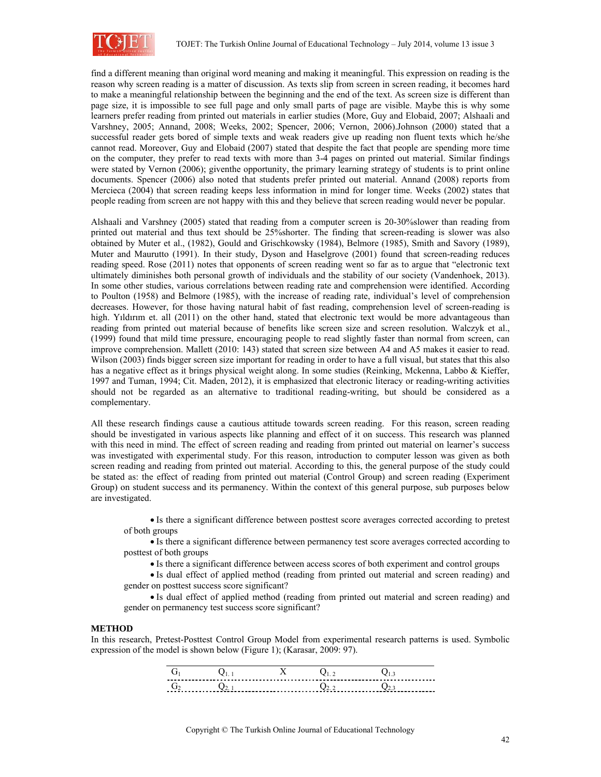

find a different meaning than original word meaning and making it meaningful. This expression on reading is the reason why screen reading is a matter of discussion. As texts slip from screen in screen reading, it becomes hard to make a meaningful relationship between the beginning and the end of the text. As screen size is different than page size, it is impossible to see full page and only small parts of page are visible. Maybe this is why some learners prefer reading from printed out materials in earlier studies (More, Guy and Elobaid, 2007; Alshaali and Varshney, 2005; Annand, 2008; Weeks, 2002; Spencer, 2006; Vernon, 2006).Johnson (2000) stated that a successful reader gets bored of simple texts and weak readers give up reading non fluent texts which he/she cannot read. Moreover, Guy and Elobaid (2007) stated that despite the fact that people are spending more time on the computer, they prefer to read texts with more than 3-4 pages on printed out material. Similar findings were stated by Vernon (2006); giventhe opportunity, the primary learning strategy of students is to print online documents. Spencer (2006) also noted that students prefer printed out material. Annand (2008) reports from Mercieca (2004) that screen reading keeps less information in mind for longer time. Weeks (2002) states that people reading from screen are not happy with this and they believe that screen reading would never be popular.

Alshaali and Varshney (2005) stated that reading from a computer screen is 20-30%slower than reading from printed out material and thus text should be 25%shorter. The finding that screen-reading is slower was also obtained by Muter et al., (1982), Gould and Grischkowsky (1984), Belmore (1985), Smith and Savory (1989), Muter and Maurutto (1991). In their study, Dyson and Haselgrove (2001) found that screen-reading reduces reading speed. Rose (2011) notes that opponents of screen reading went so far as to argue that "electronic text ultimately diminishes both personal growth of individuals and the stability of our society (Vandenhoek, 2013). In some other studies, various correlations between reading rate and comprehension were identified. According to Poulton (1958) and Belmore (1985), with the increase of reading rate, individual's level of comprehension decreases. However, for those having natural habit of fast reading, comprehension level of screen-reading is high. Yıldırım et. all (2011) on the other hand, stated that electronic text would be more advantageous than reading from printed out material because of benefits like screen size and screen resolution. Walczyk et al., (1999) found that mild time pressure, encouraging people to read slightly faster than normal from screen, can improve comprehension. Mallett (2010: 143) stated that screen size between A4 and A5 makes it easier to read. Wilson (2003) finds bigger screen size important for reading in order to have a full visual, but states that this also has a negative effect as it brings physical weight along. In some studies (Reinking, Mckenna, Labbo & Kieffer, 1997 and Tuman, 1994; Cit. Maden, 2012), it is emphasized that electronic literacy or reading-writing activities should not be regarded as an alternative to traditional reading-writing, but should be considered as a complementary.

All these research findings cause a cautious attitude towards screen reading. For this reason, screen reading should be investigated in various aspects like planning and effect of it on success. This research was planned with this need in mind. The effect of screen reading and reading from printed out material on learner's success was investigated with experimental study. For this reason, introduction to computer lesson was given as both screen reading and reading from printed out material. According to this, the general purpose of the study could be stated as: the effect of reading from printed out material (Control Group) and screen reading (Experiment Group) on student success and its permanency. Within the context of this general purpose, sub purposes below are investigated.

• Is there a significant difference between posttest score averages corrected according to pretest of both groups

• Is there a significant difference between permanency test score averages corrected according to posttest of both groups

• Is there a significant difference between access scores of both experiment and control groups

• Is dual effect of applied method (reading from printed out material and screen reading) and gender on posttest success score significant?

• Is dual effect of applied method (reading from printed out material and screen reading) and gender on permanency test success score significant?

# **METHOD**

In this research, Pretest-Posttest Control Group Model from experimental research patterns is used. Symbolic expression of the model is shown below (Figure 1); (Karasar, 2009: 97).

|     |  | ----- |
|-----|--|-------|
| --- |  |       |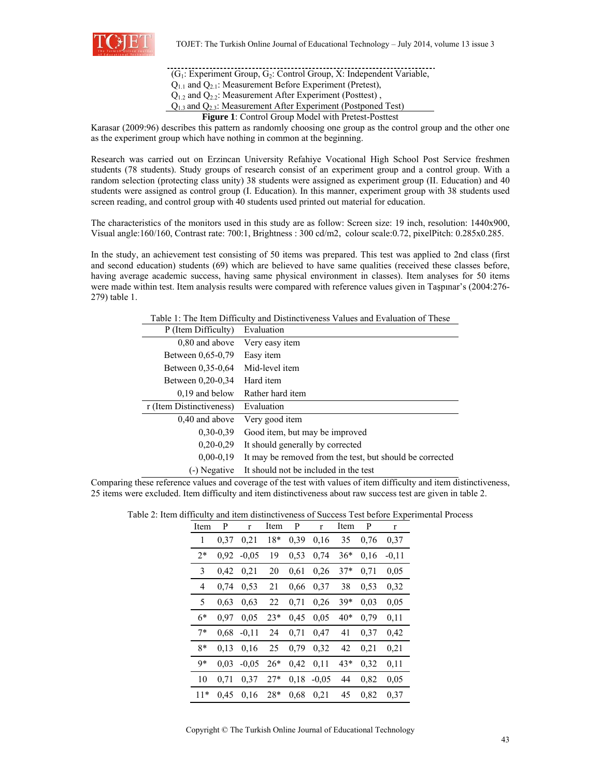

(G1: Experiment Group, G2: Control Group, X: Independent Variable,  $Q_{1,1}$  and  $Q_{2,1}$ : Measurement Before Experiment (Pretest),  $Q_{1,2}$  and  $Q_{2,2}$ : Measurement After Experiment (Posttest),  $Q_{1,3}$  and  $Q_{2,3}$ : Measurement After Experiment (Postponed Test)

**Figure 1**: Control Group Model with Pretest-Posttest

Karasar (2009:96) describes this pattern as randomly choosing one group as the control group and the other one as the experiment group which have nothing in common at the beginning.

Research was carried out on Erzincan University Refahiye Vocational High School Post Service freshmen students (78 students). Study groups of research consist of an experiment group and a control group. With a random selection (protecting class unity) 38 students were assigned as experiment group (II. Education) and 40 students were assigned as control group (I. Education). In this manner, experiment group with 38 students used screen reading, and control group with 40 students used printed out material for education.

The characteristics of the monitors used in this study are as follow: Screen size: 19 inch, resolution: 1440x900, Visual angle:160/160, Contrast rate: 700:1, Brightness : 300 cd/m2, colour scale:0.72, pixelPitch: 0.285x0.285.

In the study, an achievement test consisting of 50 items was prepared. This test was applied to 2nd class (first and second education) students (69) which are believed to have same qualities (received these classes before, having average academic success, having same physical environment in classes). Item analyses for 50 items were made within test. Item analysis results were compared with reference values given in Taşpınar's (2004:276- 279) table 1.

|                          | Table 1. The Item Difficulty and Distinctiveness Values and Evaluation of These |
|--------------------------|---------------------------------------------------------------------------------|
| P (Item Difficulty)      | Evaluation                                                                      |
| 0,80 and above           | Very easy item                                                                  |
| Between 0,65-0,79        | Easy item                                                                       |
| Between 0,35-0,64        | Mid-level item                                                                  |
| Between 0,20-0,34        | Hard item                                                                       |
| $0.19$ and below         | Rather hard item                                                                |
| r (Item Distinctiveness) | Evaluation                                                                      |
| $0.40$ and above         | Very good item                                                                  |
| $0.30 - 0.39$            | Good item, but may be improved                                                  |
| $0,20-0,29$              | It should generally by corrected                                                |
| $0,00-0,19$              | It may be removed from the test, but should be corrected                        |
| (-) Negative             | It should not be included in the test                                           |

Table 1: The Item Difficulty and Distinctiveness Values and Evaluation of These

Comparing these reference values and coverage of the test with values of item difficulty and item distinctiveness, 25 items were excluded. Item difficulty and item distinctiveness about raw success test are given in table 2.

| Item  | P    | $\mathbf r$  | Item  | $\mathbf{P}$ | $\mathbf{r}$ | Item  | $\mathbf{P}$ | r       |
|-------|------|--------------|-------|--------------|--------------|-------|--------------|---------|
| 1     | 0.37 | 0.21         | $18*$ | 0,39         | 0,16         | 35    | 0.76         | 0.37    |
| $2*$  |      | $0,92$ -0.05 | 19    | 0,53         | 0,74         | $36*$ | 0,16         | $-0.11$ |
| 3     | 0,42 | 0,21         | 20    | 0.61         | 0,26         | $37*$ | 0,71         | 0.05    |
| 4     | 0.74 | 0.53         | 21    | 0,66         | 0,37         | 38    | 0.53         | 0.32    |
| 5     | 0.63 | 0.63         | 22    | 0,71         | 0,26         | $39*$ | 0,03         | 0.05    |
| $6*$  | 0.97 | 0,05         | $23*$ | 0,45         | 0.05         | $40*$ | 0.79         | 0.11    |
| $7*$  | 0.68 | $-0.11$      | -24   | 0,71         | 0,47         | 41    | 0.37         | 0.42    |
| $8*$  | 0.13 | 0,16         | 25    | 0,79         | 0,32         | 42    | 0,21         | 0.21    |
| 9*    | 0,03 | $-0.05$      | $26*$ | 0,42         | 0,11         | 43*   | 0.32         | 0,11    |
| 10    | 0.71 | 0.37         | $27*$ |              | $0,18$ -0,05 | 44    | 0,82         | 0,05    |
| $11*$ | 0.45 | 0,16         | $28*$ | 0.68         | 0,21         | 45    | 0.82         | 0.37    |

Table 2: Item difficulty and item distinctiveness of Success Test before Experimental Process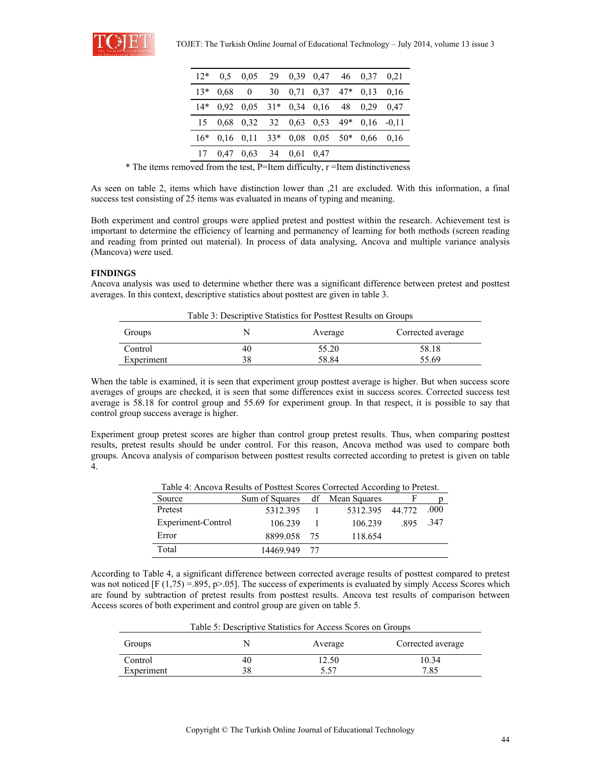

|  | 12* 0,5 0,05 29 0,39 0,47 46 0,37 0,21      |  |  |  |
|--|---------------------------------------------|--|--|--|
|  | 13* 0.68 0 30 0.71 0.37 47* 0.13 0.16       |  |  |  |
|  | 14* 0,92 0,05 31* 0,34 0,16 48 0,29 0,47    |  |  |  |
|  | 15 0,68 0,32 32 0,63 0,53 49* 0,16 -0,11    |  |  |  |
|  | $16*$ 0,16 0,11 33* 0,08 0,05 50* 0,66 0,16 |  |  |  |
|  | 17 0.47 0.63 34 0.61 0.47                   |  |  |  |

\* The items removed from the test, P=Item difficulty, r =Item distinctiveness

As seen on table 2, items which have distinction lower than ,21 are excluded. With this information, a final success test consisting of 25 items was evaluated in means of typing and meaning.

Both experiment and control groups were applied pretest and posttest within the research. Achievement test is important to determine the efficiency of learning and permanency of learning for both methods (screen reading and reading from printed out material). In process of data analysing, Ancova and multiple variance analysis (Mancova) were used.

# **FINDINGS**

Ancova analysis was used to determine whether there was a significant difference between pretest and posttest averages. In this context, descriptive statistics about posttest are given in table 3.

| Table 3: Descriptive Statistics for Posttest Results on Groups |    |         |                   |  |  |  |  |
|----------------------------------------------------------------|----|---------|-------------------|--|--|--|--|
| Groups                                                         | N  | Average | Corrected average |  |  |  |  |
| Control                                                        | 40 | 55.20   | 58.18             |  |  |  |  |
| Experiment                                                     | 38 | 58.84   | 55.69             |  |  |  |  |

When the table is examined, it is seen that experiment group posttest average is higher. But when success score averages of groups are checked, it is seen that some differences exist in success scores. Corrected success test average is 58.18 for control group and 55.69 for experiment group. In that respect, it is possible to say that control group success average is higher.

Experiment group pretest scores are higher than control group pretest results. Thus, when comparing posttest results, pretest results should be under control. For this reason, Ancova method was used to compare both groups. Ancova analysis of comparison between posttest results corrected according to pretest is given on table 4.

Table 4: Ancova Results of Posttest Scores Corrected According to Pretest.

| Source             | Sum of Squares | df Mean Squares |        |      |
|--------------------|----------------|-----------------|--------|------|
| Pretest            | 5312.395       | 5312.395        | 44.772 | .000 |
| Experiment-Control | 106.239        | 106 239         | 895    | -347 |
| Error              | 8899.058 75    | 118.654         |        |      |
| Total              | 14469.949 77   |                 |        |      |

According to Table 4, a significant difference between corrected average results of posttest compared to pretest was not noticed  $[F(1,75) = .895, p > .05]$ . The success of experiments is evaluated by simply Access Scores which are found by subtraction of pretest results from posttest results. Ancova test results of comparison between Access scores of both experiment and control group are given on table 5.

Table 5: Descriptive Statistics for Access Scores on Groups

| Groups     | N  | Average | Corrected average |
|------------|----|---------|-------------------|
| Control    | 40 | .2.50   | 0.34              |
| Experiment | 38 | こくつ     | 7.85              |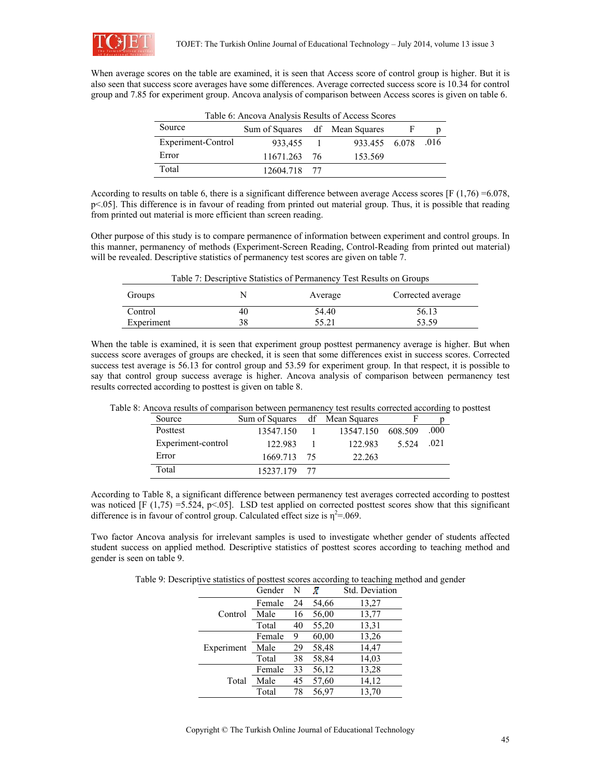

When average scores on the table are examined, it is seen that Access score of control group is higher. But it is also seen that success score averages have some differences. Average corrected success score is 10.34 for control group and 7.85 for experiment group. Ancova analysis of comparison between Access scores is given on table 6.

| Table 6: Ancova Analysis Results of Access Scores |                                |  |                    |  |  |  |  |
|---------------------------------------------------|--------------------------------|--|--------------------|--|--|--|--|
| Source                                            | Sum of Squares df Mean Squares |  |                    |  |  |  |  |
| Experiment-Control                                | 933.455                        |  | 933.455 6.078 .016 |  |  |  |  |
| Error                                             | 11671.263 76                   |  | 153.569            |  |  |  |  |
| Total                                             | 12604.718 77                   |  |                    |  |  |  |  |

According to results on table 6, there is a significant difference between average Access scores  $[F(1,76) = 6.078]$ , p<.05]. This difference is in favour of reading from printed out material group. Thus, it is possible that reading from printed out material is more efficient than screen reading.

Other purpose of this study is to compare permanence of information between experiment and control groups. In this manner, permanency of methods (Experiment-Screen Reading, Control-Reading from printed out material) will be revealed. Descriptive statistics of permanency test scores are given on table 7.

| Table 7: Descriptive Statistics of Permanency Test Results on Groups |    |         |                   |  |  |  |  |
|----------------------------------------------------------------------|----|---------|-------------------|--|--|--|--|
| Groups                                                               |    | Average | Corrected average |  |  |  |  |
| Control                                                              | 40 | 54.40   | 56.13             |  |  |  |  |
| Experiment                                                           | 38 | 55.21   | 53.59             |  |  |  |  |

When the table is examined, it is seen that experiment group posttest permanency average is higher. But when success score averages of groups are checked, it is seen that some differences exist in success scores. Corrected success test average is 56.13 for control group and 53.59 for experiment group. In that respect, it is possible to say that control group success average is higher. Ancova analysis of comparison between permanency test results corrected according to posttest is given on table 8.

| Source             | Sum of Squares df Mean Squares |           |         |      |
|--------------------|--------------------------------|-----------|---------|------|
| Posttest           | 13547.150                      | 13547.150 | 608.509 | .000 |
| Experiment-control | 122.983                        | 122.983   | 5.524   | -021 |
| Error              | 1669.713 75                    | 22.263    |         |      |
| Total              | 15237.179 77                   |           |         |      |

Table 8: Ancova results of comparison between permanency test results corrected according to posttest

According to Table 8, a significant difference between permanency test averages corrected according to posttest was noticed  $[F(1,75) = 5.524, p < 0.05]$ . LSD test applied on corrected posttest scores show that this significant difference is in favour of control group. Calculated effect size is  $\eta^2 = 0.069$ .

Two factor Ancova analysis for irrelevant samples is used to investigate whether gender of students affected student success on applied method. Descriptive statistics of posttest scores according to teaching method and gender is seen on table 9.

| Table 9: Descriptive statistics of posttest scores according to teaching method and gender |  |  |  |
|--------------------------------------------------------------------------------------------|--|--|--|
|                                                                                            |  |  |  |

|            | Gender | N  | Х     | Std. Deviation |
|------------|--------|----|-------|----------------|
|            | Female | 24 | 54,66 | 13,27          |
| Control    | Male   | 16 | 56,00 | 13,77          |
|            | Total  | 40 | 55,20 | 13,31          |
|            | Female | 9  | 60,00 | 13,26          |
| Experiment | Male   | 29 | 58,48 | 14,47          |
|            | Total  | 38 | 58,84 | 14,03          |
| Total      | Female | 33 | 56,12 | 13,28          |
|            | Male   | 45 | 57,60 | 14,12          |
|            | Total  | 78 | 56,97 | 13,70          |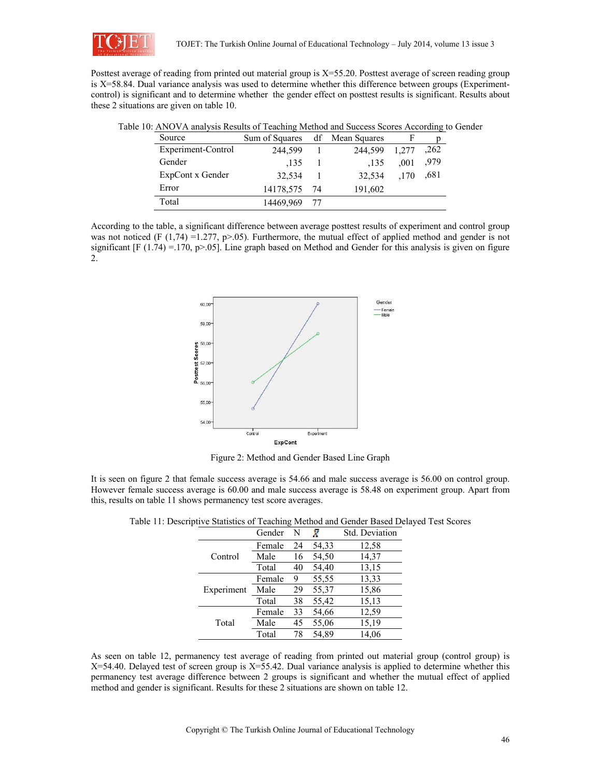

Posttest average of reading from printed out material group is X=55.20. Posttest average of screen reading group is X=58.84. Dual variance analysis was used to determine whether this difference between groups (Experimentcontrol) is significant and to determine whether the gender effect on posttest results is significant. Results about these 2 situations are given on table 10.

| Source             | Sum of Squares |     | df Mean Squares | F     |      |
|--------------------|----------------|-----|-----------------|-------|------|
| Experiment-Control | 244,599        |     | 244.599         | 1.277 | .262 |
| Gender             | .135           |     | .135            | .001  | .979 |
| ExpCont x Gender   | 32,534         |     | 32,534          | .170  | .681 |
| Error              | 14178,575      | -74 | 191,602         |       |      |
| Total              | 14469.969      |     |                 |       |      |

Table 10: ANOVA analysis Results of Teaching Method and Success Scores According to Gender

According to the table, a significant difference between average posttest results of experiment and control group was not noticed (F  $(1,74) = 1.277$ , p>.05). Furthermore, the mutual effect of applied method and gender is not significant  $[F (1.74) = 170, p > 05]$ . Line graph based on Method and Gender for this analysis is given on figure 2.



Figure 2: Method and Gender Based Line Graph

It is seen on figure 2 that female success average is 54.66 and male success average is 56.00 on control group. However female success average is 60.00 and male success average is 58.48 on experiment group. Apart from this, results on table 11 shows permanency test score averages.

|            | Gender | N  | Y     | Std. Deviation |
|------------|--------|----|-------|----------------|
| Control    | Female | 24 | 54,33 | 12,58          |
|            | Male   | 16 | 54,50 | 14,37          |
|            | Total  | 40 | 54,40 | 13,15          |
| Experiment | Female | 9  | 55,55 | 13,33          |
|            | Male   | 29 | 55,37 | 15,86          |
|            | Total  | 38 | 55,42 | 15,13          |
| Total      | Female | 33 | 54,66 | 12,59          |
|            | Male   | 45 | 55,06 | 15,19          |
|            | Total  | 78 | 54.89 | 14,06          |
|            |        |    |       |                |

Table 11: Descriptive Statistics of Teaching Method and Gender Based Delayed Test Scores

As seen on table 12, permanency test average of reading from printed out material group (control group) is X=54.40. Delayed test of screen group is X=55.42. Dual variance analysis is applied to determine whether this permanency test average difference between 2 groups is significant and whether the mutual effect of applied method and gender is significant. Results for these 2 situations are shown on table 12.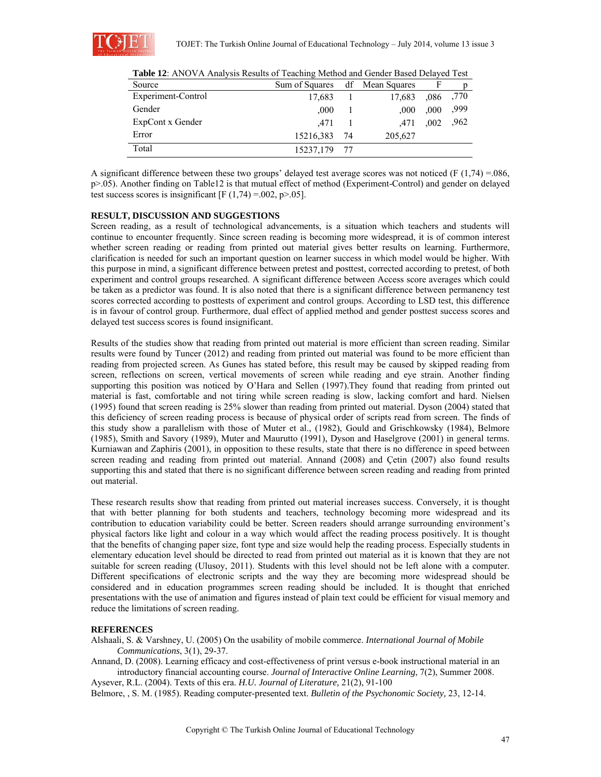

| Source             | Sum of Squares |     | df Mean Squares | F    |      |
|--------------------|----------------|-----|-----------------|------|------|
| Experiment-Control | 17,683         |     | 17,683          | .086 | .770 |
| Gender             | ,000           |     | .000            | .000 | ,999 |
| ExpCont x Gender   | .471           |     | .471            | ,002 | .962 |
| Error              | 15216,383      | -74 | 205,627         |      |      |
| Total              | 15237,179 77   |     |                 |      |      |

**Table 12**: ANOVA Analysis Results of Teaching Method and Gender Based Delayed Test

A significant difference between these two groups' delayed test average scores was not noticed (F  $(1,74) = .086$ , p>.05). Another finding on Table12 is that mutual effect of method (Experiment-Control) and gender on delayed test success scores is insignificant [F  $(1,74) = .002$ , p>.05].

# **RESULT, DISCUSSION AND SUGGESTIONS**

Screen reading, as a result of technological advancements, is a situation which teachers and students will continue to encounter frequently. Since screen reading is becoming more widespread, it is of common interest whether screen reading or reading from printed out material gives better results on learning. Furthermore, clarification is needed for such an important question on learner success in which model would be higher. With this purpose in mind, a significant difference between pretest and posttest, corrected according to pretest, of both experiment and control groups researched. A significant difference between Access score averages which could be taken as a predictor was found. It is also noted that there is a significant difference between permanency test scores corrected according to posttests of experiment and control groups. According to LSD test, this difference is in favour of control group. Furthermore, dual effect of applied method and gender posttest success scores and delayed test success scores is found insignificant.

Results of the studies show that reading from printed out material is more efficient than screen reading. Similar results were found by Tuncer (2012) and reading from printed out material was found to be more efficient than reading from projected screen. As Gunes has stated before, this result may be caused by skipped reading from screen, reflections on screen, vertical movements of screen while reading and eye strain. Another finding supporting this position was noticed by O'Hara and Sellen (1997). They found that reading from printed out material is fast, comfortable and not tiring while screen reading is slow, lacking comfort and hard. Nielsen (1995) found that screen reading is 25% slower than reading from printed out material. Dyson (2004) stated that this deficiency of screen reading process is because of physical order of scripts read from screen. The finds of this study show a parallelism with those of Muter et al., (1982), Gould and Grischkowsky (1984), Belmore (1985), Smith and Savory (1989), Muter and Maurutto (1991), Dyson and Haselgrove (2001) in general terms. Kurniawan and Zaphiris (2001), in opposition to these results, state that there is no difference in speed between screen reading and reading from printed out material. Annand (2008) and Çetin (2007) also found results supporting this and stated that there is no significant difference between screen reading and reading from printed out material.

These research results show that reading from printed out material increases success. Conversely, it is thought that with better planning for both students and teachers, technology becoming more widespread and its contribution to education variability could be better. Screen readers should arrange surrounding environment's physical factors like light and colour in a way which would affect the reading process positively. It is thought that the benefits of changing paper size, font type and size would help the reading process. Especially students in elementary education level should be directed to read from printed out material as it is known that they are not suitable for screen reading (Ulusoy, 2011). Students with this level should not be left alone with a computer. Different specifications of electronic scripts and the way they are becoming more widespread should be considered and in education programmes screen reading should be included. It is thought that enriched presentations with the use of animation and figures instead of plain text could be efficient for visual memory and reduce the limitations of screen reading.

# **REFERENCES**

Alshaali, S. & Varshney, U. (2005) On the usability of mobile commerce. *International Journal of Mobile Communications*, 3(1), 29-37.

Annand, D. (2008). Learning efficacy and cost-effectiveness of print versus e-book instructional material in an introductory financial accounting course. *Journal of Interactive Online Learning*, 7(2), Summer 2008.

Aysever, R.L. (2004). Texts of this era. *H.U. Journal of Literature,* 21(2), 91-100 Belmore, , S. M. (1985). Reading computer-presented text. *Bulletin of the Psychonomic Society,* 23, 12-14.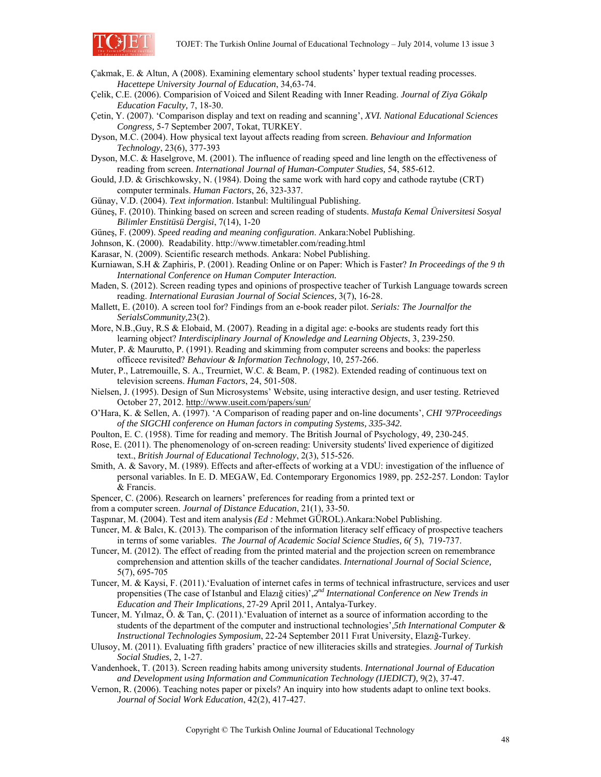

- Çakmak, E. & Altun, A (2008). Examining elementary school students' hyper textual reading processes. *Hacettepe University Journal of Education*, 34,63-74.
- Çelik, C.E. (2006). Comparision of Voiced and Silent Reading with Inner Reading. *Journal of Ziya Gökalp Education Faculty,* 7, 18-30.
- Çetin, Y. (2007). 'Comparison display and text on reading and scanning', *XVI. National Educational Sciences Congress,* 5-7 September 2007, Tokat, TURKEY.
- Dyson, M.C. (2004). How physical text layout affects reading from screen. *Behaviour and Information Technology*, 23(6), 377-393
- Dyson, M.C. & Haselgrove, M. (2001). The influence of reading speed and line length on the effectiveness of reading from screen. *International Journal of Human-Computer Studies,* 54, 585-612.
- Gould, J.D. & Grischkowsky, N. (1984). Doing the same work with hard copy and cathode raytube (CRT) computer terminals. *Human Factors*, 26, 323-337.
- Günay, V.D. (2004). *Text information*. Istanbul: Multilingual Publishing.
- Güneş, F. (2010). Thinking based on screen and screen reading of students. *Mustafa Kemal Üniversitesi Sosyal Bilimler Enstitüsü Dergisi*, 7(14), 1-20
- Güneş, F. (2009). *Speed reading and meaning configuration*. Ankara:Nobel Publishing.
- Johnson, K. (2000). Readability. http://www.timetabler.com/reading.html
- Karasar, N. (2009). Scientific research methods. Ankara: Nobel Publishing.
- Kurniawan, S.H & Zaphiris, P. (2001). Reading Online or on Paper: Which is Faster? *In Proceedings of the 9 th International Conference on Human Computer Interaction.*
- Maden, S. (2012). Screen reading types and opinions of prospective teacher of Turkish Language towards screen reading. *International Eurasian Journal of Social Sciences,* 3(7), 16-28.
- Mallett, E. (2010). A screen tool for? Findings from an e-book reader pilot. *Serials: The Journalfor the SerialsCommunity,*23(2).
- More, N.B.,Guy, R.S & Elobaid, M. (2007). Reading in a digital age: e-books are students ready fort this learning object? *Interdisciplinary Journal of Knowledge and Learning Objects*, 3, 239-250.
- Muter, P. & Maurutto, P. (1991). Reading and skimming from computer screens and books: the paperless officece revisited? *Behaviour & Information Technology*, 10, 257-266.
- Muter, P., Latremouille, S. A., Treurniet, W.C. & Beam, P. (1982). Extended reading of continuous text on television screens. *Human Factors*, 24, 501-508.
- Nielsen, J. (1995). Design of Sun Microsystems' Website, using interactive design, and user testing. Retrieved October 27, 2012. http://www.useit.com/papers/sun/
- O'Hara, K. & Sellen, A. (1997). 'A Comparison of reading paper and on-line documents', *CHI '97Proceedings of the SIGCHI conference on Human factors in computing Systems, 335-342.*
- Poulton, E. C. (1958). Time for reading and memory. The British Journal of Psychology, 49, 230-245.
- Rose, E. (2011). The phenomenology of on-screen reading: University students' lived experience of digitized text., *British Journal of Educational Technology*, 2(3), 515-526.
- Smith, A. & Savory, M. (1989). Effects and after-effects of working at a VDU: investigation of the influence of personal variables. In E. D. MEGAW, Ed. Contemporary Ergonomics 1989, pp. 252-257. London: Taylor & Francis.
- Spencer, C. (2006). Research on learners' preferences for reading from a printed text or
- from a computer screen. *Journal of Distance Education*, 21(1), 33-50.
- Taşpınar, M. (2004). Test and item analysis *(Ed : Mehmet GÜROL).* Ankara: Nobel Publishing.
- Tuncer, M. & Balcı, K. (2013). The comparison of the information literacy self efficacy of prospective teachers in terms of some variables. *The Journal of Academic Social Science Studies, 6(* 5), 719-737.
- Tuncer, M. (2012). The effect of reading from the printed material and the projection screen on remembrance comprehension and attention skills of the teacher candidates. *International Journal of Social Science,*  5(7), 695-705
- Tuncer, M. & Kaysi, F. (2011).'Evaluation of internet cafes in terms of technical infrastructure, services and user propensities (The case of Istanbul and Elazığ cities)',*2nd International Conference on New Trends in Education and Their Implications*, 27-29 April 2011, Antalya-Turkey.
- Tuncer, M. Yılmaz, Ö. & Tan, Ç. (2011).'Evaluation of internet as a source of information according to the students of the department of the computer and instructional technologies',*5th International Computer & Instructional Technologies Symposium*, 22-24 September 2011 Fırat University, Elazığ-Turkey.
- Ulusoy, M. (2011). Evaluating fifth graders' practice of new illiteracies skills and strategies. *Journal of Turkish Social Studies*, 2, 1-27.
- Vandenhoek, T. (2013). Screen reading habits among university students. *International Journal of Education and Development using Information and Communication Technology (IJEDICT),* 9(2), 37-47.
- Vernon, R. (2006). Teaching notes paper or pixels? An inquiry into how students adapt to online text books. *Journal of Social Work Education*, 42(2), 417-427.